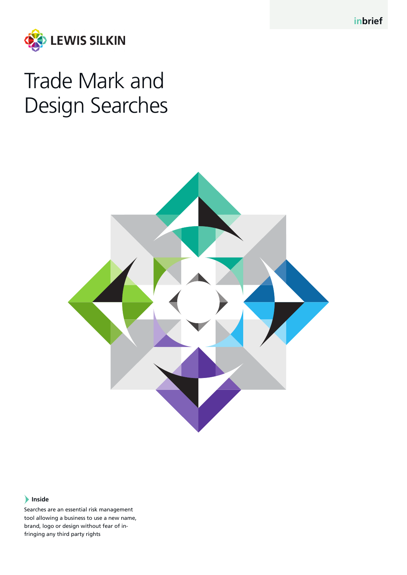**inbrief**



# Trade Mark and Design Searches



## **Inside**

Searches are an essential risk management tool allowing a business to use a new name, brand, logo or design without fear of infringing any third party rights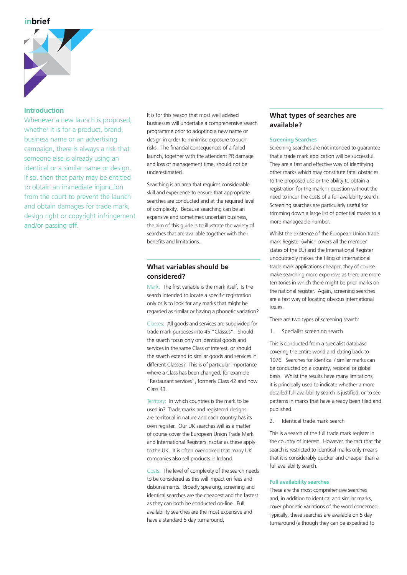

#### **Introduction**

Whenever a new launch is proposed. whether it is for a product, brand, business name or an advertising campaign, there is always a risk that someone else is already using an identical or a similar name or design. If so, then that party may be entitled to obtain an immediate injunction from the court to prevent the launch and obtain damages for trade mark, design right or copyright infringement and/or passing off.

It is for this reason that most well advised businesses will undertake a comprehensive search programme prior to adopting a new name or design in order to minimise exposure to such risks. The financial consequences of a failed launch, together with the attendant PR damage and loss of management time, should not be underestimated.

Searching is an area that requires considerable skill and experience to ensure that appropriate searches are conducted and at the required level of complexity. Because searching can be an expensive and sometimes uncertain business, the aim of this guide is to illustrate the variety of searches that are available together with their benefits and limitations.

# **What variables should be considered?**

Mark: The first variable is the mark itself. Is the search intended to locate a specific registration only or is to look for any marks that might be regarded as similar or having a phonetic variation?

Classes: All goods and services are subdivided for trade mark purposes into 45 "Classes". Should the search focus only on identical goods and services in the same Class of interest, or should the search extend to similar goods and services in different Classes? This is of particular importance where a Class has been changed; for example "Restaurant services", formerly Class 42 and now Class 43.

Territory: In which countries is the mark to be used in? Trade marks and registered designs are territorial in nature and each country has its own register. Our UK searches will as a matter of course cover the European Union Trade Mark and International Registers insofar as these apply to the UK. It is often overlooked that many UK companies also sell products in Ireland.

Costs: The level of complexity of the search needs to be considered as this will impact on fees and disbursements. Broadly speaking, screening and identical searches are the cheapest and the fastest as they can both be conducted on-line. Full availability searches are the most expensive and have a standard 5 day turnaround.

## **What types of searches are available?**

#### **Screening Searches**

Screening searches are not intended to guarantee that a trade mark application will be successful. They are a fast and effective way of identifying other marks which may constitute fatal obstacles to the proposed use or the ability to obtain a registration for the mark in question without the need to incur the costs of a full availability search. Screening searches are particularly useful for trimming down a large list of potential marks to a more manageable number.

Whilst the existence of the European Union trade mark Register (which covers all the member states of the EU) and the International Register undoubtedly makes the filing of international trade mark applications cheaper, they of course make searching more expensive as there are more territories in which there might be prior marks on the national register. Again, screening searches are a fast way of locating obvious international issues.

There are two types of screening search:

1. Specialist screening search

This is conducted from a specialist database covering the entire world and dating back to 1976. Searches for identical / similar marks can be conducted on a country, regional or global basis. Whilst the results have many limitations, it is principally used to indicate whether a more detailed full availability search is justified, or to see patterns in marks that have already been filed and published.

2. Identical trade mark search

This is a search of the full trade mark register in the country of interest. However, the fact that the search is restricted to identical marks only means that it is considerably quicker and cheaper than a full availability search.

#### **Full availability searches**

These are the most comprehensive searches and, in addition to identical and similar marks, cover phonetic variations of the word concerned. Typically, these searches are available on 5 day turnaround (although they can be expedited to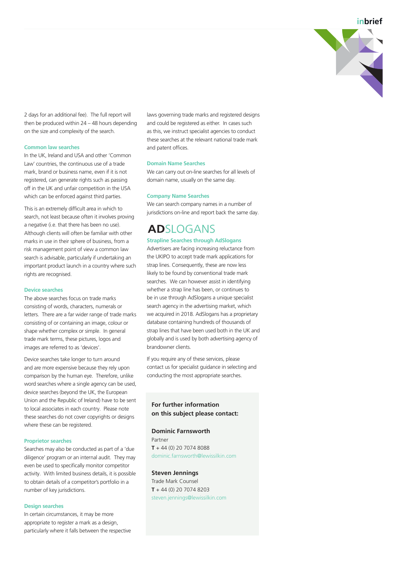**inbrief**



2 days for an additional fee). The full report will then be produced within 24 – 48 hours depending on the size and complexity of the search.

#### **Common law searches**

In the UK, Ireland and USA and other 'Common Law' countries, the continuous use of a trade mark, brand or business name, even if it is not registered, can generate rights such as passing off in the UK and unfair competition in the USA which can be enforced against third parties.

This is an extremely difficult area in which to search, not least because often it involves proving a negative (i.e. that there has been no use). Although clients will often be familiar with other marks in use in their sphere of business, from a risk management point of view a common law search is advisable, particularly if undertaking an important product launch in a country where such rights are recognised.

#### **Device searches**

The above searches focus on trade marks consisting of words, characters, numerals or letters. There are a far wider range of trade marks consisting of or containing an image, colour or shape whether complex or simple. In general trade mark terms, these pictures, logos and images are referred to as 'devices'.

Device searches take longer to turn around and are more expensive because they rely upon comparison by the human eye. Therefore, unlike word searches where a single agency can be used, device searches (beyond the UK, the European Union and the Republic of Ireland) have to be sent to local associates in each country. Please note these searches do not cover copyrights or designs where these can be registered.

#### **Proprietor searches**

Searches may also be conducted as part of a 'due diligence' program or an internal audit. They may even be used to specifically monitor competitor activity. With limited business details, it is possible to obtain details of a competitor's portfolio in a number of key jurisdictions.

#### **Design searches**

In certain circumstances, it may be more appropriate to register a mark as a design, particularly where it falls between the respective laws governing trade marks and registered designs and could be registered as either. In cases such as this, we instruct specialist agencies to conduct these searches at the relevant national trade mark and patent offices.

#### **Domain Name Searches**

We can carry out on-line searches for all levels of domain name, usually on the same day.

#### **Company Name Searches**

We can search company names in a number of jurisdictions on-line and report back the same day.

# **ADSLOGANS**

#### **Strapline Searches through AdSlogans**

Advertisers are facing increasing reluctance from the UKIPO to accept trade mark applications for strap lines. Consequently, these are now less likely to be found by conventional trade mark searches. We can however assist in identifying whether a strap line has been, or continues to be in use through AdSlogans a unique specialist search agency in the advertising market, which we acquired in 2018. AdSlogans has a proprietary database containing hundreds of thousands of strap lines that have been used both in the UK and globally and is used by both advertising agency of brandowner clients.

If you require any of these services, please contact us for specialist guidance in selecting and conducting the most appropriate searches.

#### **For further information on this subject please contact:**

#### **Dominic Farnsworth**

Partner **T** + 44 (0) 20 7074 8088 dominic.farnsworth@lewissilkin.com

# **Steven Jennings**

Trade Mark Counsel **T** + 44 (0) 20 7074 8203 steven.jennings@lewissilkin.com